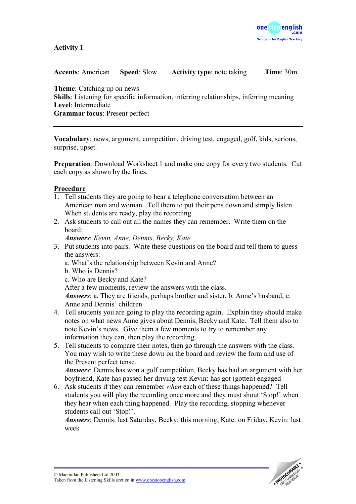

## **Activity 1**

| <b>Accents:</b> American | <b>Speed: Slow</b> | <b>Activity type:</b> note taking | <b>Time</b> : $30m$ |
|--------------------------|--------------------|-----------------------------------|---------------------|
|--------------------------|--------------------|-----------------------------------|---------------------|

**Theme**: Catching up on news **Skills**: Listening for specific information, inferring relationships, inferring meaning **Level**: Intermediate **Grammar focus**: Present perfect

**Vocabulary**: news, argument, competition, driving test, engaged, golf, kids, serious, surprise, upset.

**Preparation**: Download Worksheet 1 and make one copy for every two students. Cut each copy as shown by the lines.

## **Procedure**

- 1. Tell students they are going to hear a telephone conversation between an American man and woman. Tell them to put their pens down and simply listen. When students are ready, play the recording.
- 2. Ask students to call out all the names they can remember. Write them on the board:

*Answers*: *Kevin, Anne, Dennis, Becky, Kate.* 

- 3. Put students into pairs. Write these questions on the board and tell them to guess the answers:
	- a. What's the relationship between Kevin and Anne?
	- b. Who is Dennis?
	- c. Who are Becky and Kate?

After a few moments, review the answers with the class.

*Answers*: a. They are friends, perhaps brother and sister, b. Anne's husband, c. Anne and Dennis' children

- 4. Tell students you are going to play the recording again. Explain they should make notes on what news Anne gives about Dennis, Becky and Kate. Tell them also to note Kevin's news. Give them a few moments to try to remember any information they can, then play the recording.
- 5. Tell students to compare their notes, then go through the answers with the class. You may wish to write these down on the board and review the form and use of the Present perfect tense.

*Answers*: Dennis has won a golf competition, Becky has had an argument with her boyfriend, Kate has passed her driving test Kevin: has got (gotten) engaged

6. Ask students if they can remember *when* each of these things happened? Tell students you will play the recording once more and they must shout 'Stop!' when they hear when each thing happened. Play the recording, stopping whenever students call out 'Stop!'.

*Answers*: Dennis: last Saturday, Becky: this morning, Kate: on Friday, Kevin: last week